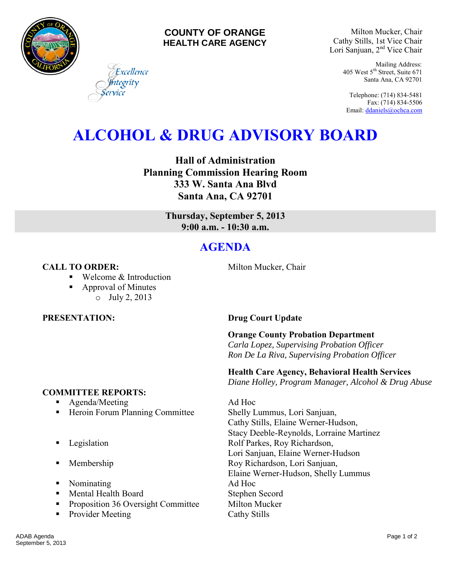

#### **COUNTY OF ORANGE HEALTH CARE AGENCY**

Milton Mucker, Chair Cathy Stills, 1st Vice Chair Lori Sanjuan, 2nd Vice Chair

> Mailing Address: 405 West 5<sup>th</sup> Street, Suite 671 Santa Ana, CA 92701

Telephone: (714) 834-5481 Fax: (714) 834-5506 Email[: ddaniels@ochca.com](mailto:ddaniels@ochca.com)

# **ALCOHOL & DRUG ADVISORY BOARD**

**Hall of Administration Planning Commission Hearing Room 333 W. Santa Ana Blvd Santa Ana, CA 92701** 

> **Thursday, September 5, 2013 9:00 a.m. - 10:30 a.m.**

## **AGENDA**

#### **CALL TO ORDER:** Milton Mucker, Chair

■ Welcome & Introduction

Excellence tegrity

- Approval of Minutes
	- o July 2, 2013

#### **COMMITTEE REPORTS:**

- **Agenda/Meeting Ad Hoc**
- Heroin Forum Planning Committee Shelly Lummus, Lori Sanjuan,
- 
- 
- Nominating Ad Hoc
- Mental Health Board Stephen Secord
- **•** Proposition 36 Oversight Committee Milton Mucker
- Provider Meeting Cathy Stills

### **PRESENTATION: Drug Court Update**

**Orange County Probation Department**  *Carla Lopez, Supervising Probation Officer Ron De La Riva, Supervising Probation Officer* 

#### **Health Care Agency, Behavioral Health Services**

 *Diane Holley, Program Manager, Alcohol & Drug Abuse*

Cathy Stills, Elaine Werner-Hudson, Stacy Deeble-Reynolds, Lorraine Martinez **Example 3** Legislation **Rolf Parkes, Roy Richardson,** Lori Sanjuan, Elaine Werner-Hudson **Membership Roy Richardson, Lori Sanjuan,** Elaine Werner-Hudson, Shelly Lummus